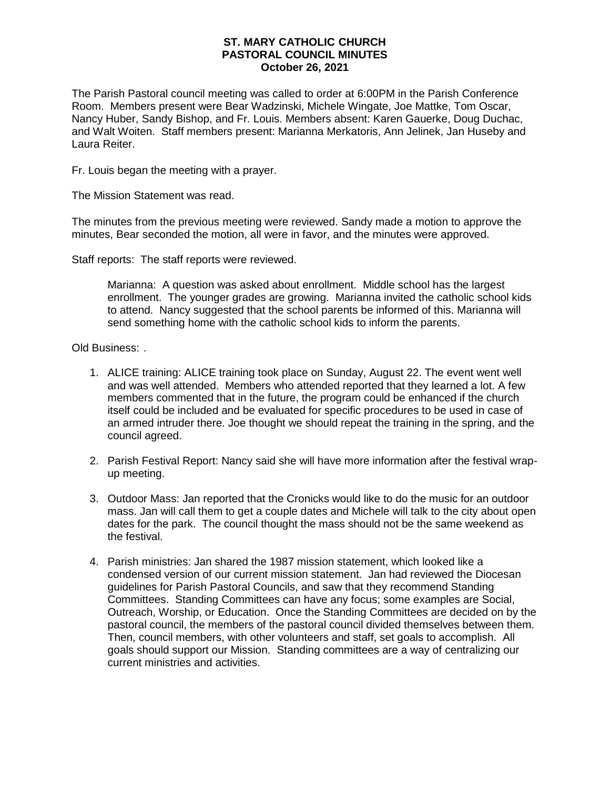## **ST. MARY CATHOLIC CHURCH PASTORAL COUNCIL MINUTES October 26, 2021**

The Parish Pastoral council meeting was called to order at 6:00PM in the Parish Conference Room. Members present were Bear Wadzinski, Michele Wingate, Joe Mattke, Tom Oscar, Nancy Huber, Sandy Bishop, and Fr. Louis. Members absent: Karen Gauerke, Doug Duchac, and Walt Woiten. Staff members present: Marianna Merkatoris, Ann Jelinek, Jan Huseby and Laura Reiter.

Fr. Louis began the meeting with a prayer.

The Mission Statement was read.

The minutes from the previous meeting were reviewed. Sandy made a motion to approve the minutes, Bear seconded the motion, all were in favor, and the minutes were approved.

Staff reports: The staff reports were reviewed.

Marianna: A question was asked about enrollment. Middle school has the largest enrollment. The younger grades are growing. Marianna invited the catholic school kids to attend. Nancy suggested that the school parents be informed of this. Marianna will send something home with the catholic school kids to inform the parents.

Old Business: .

- 1. ALICE training: ALICE training took place on Sunday, August 22. The event went well and was well attended. Members who attended reported that they learned a lot. A few members commented that in the future, the program could be enhanced if the church itself could be included and be evaluated for specific procedures to be used in case of an armed intruder there. Joe thought we should repeat the training in the spring, and the council agreed.
- 2. Parish Festival Report: Nancy said she will have more information after the festival wrapup meeting.
- 3. Outdoor Mass: Jan reported that the Cronicks would like to do the music for an outdoor mass. Jan will call them to get a couple dates and Michele will talk to the city about open dates for the park. The council thought the mass should not be the same weekend as the festival.
- 4. Parish ministries: Jan shared the 1987 mission statement, which looked like a condensed version of our current mission statement. Jan had reviewed the Diocesan guidelines for Parish Pastoral Councils, and saw that they recommend Standing Committees. Standing Committees can have any focus; some examples are Social, Outreach, Worship, or Education. Once the Standing Committees are decided on by the pastoral council, the members of the pastoral council divided themselves between them. Then, council members, with other volunteers and staff, set goals to accomplish. All goals should support our Mission. Standing committees are a way of centralizing our current ministries and activities.